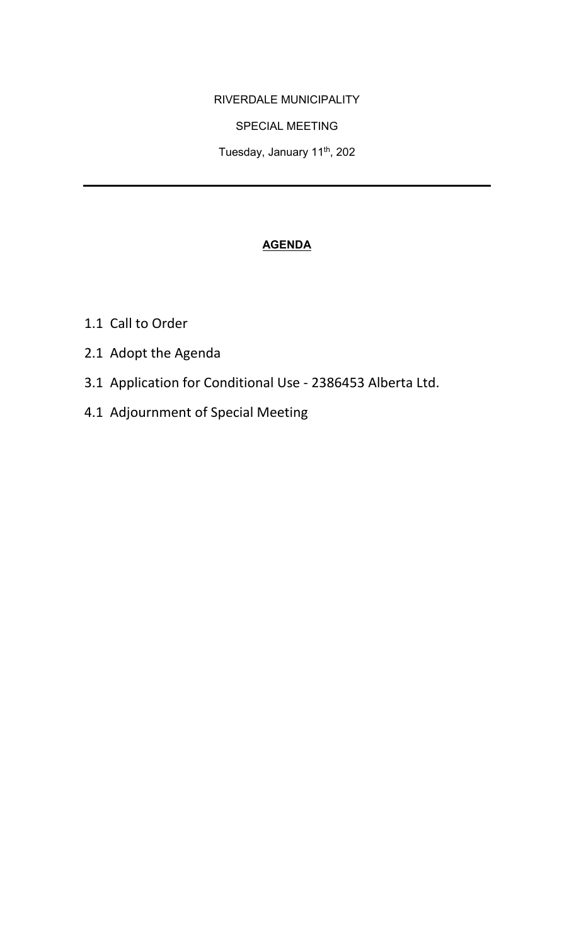### RIVERDALE MUNICIPALITY

## SPECIAL MEETING

Tuesday, January 11<sup>th</sup>, 202

# **AGENDA**

- 1.1 Call to Order
- 2.1 Adopt the Agenda
- 3.1 Application for Conditional Use 2386453 Alberta Ltd.
- 4.1 Adjournment of Special Meeting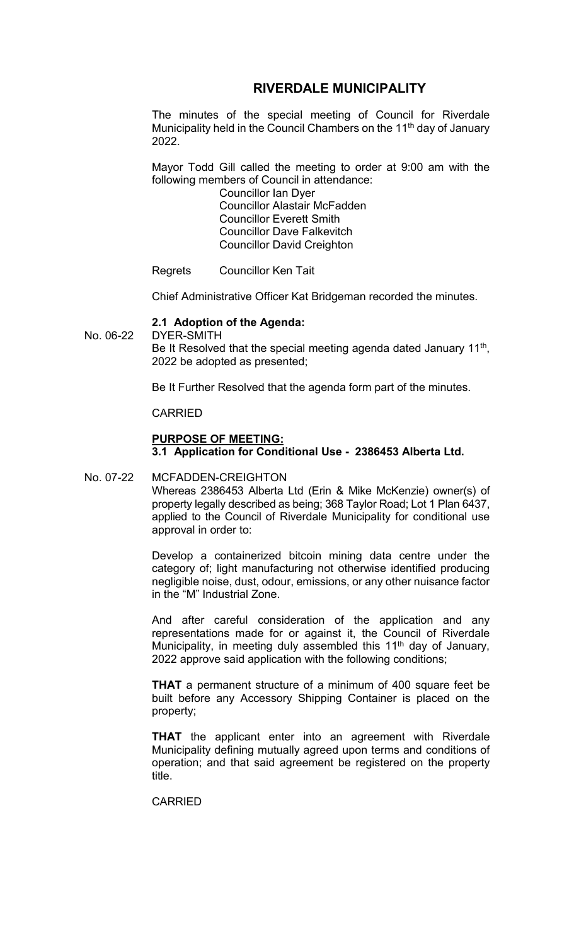## **RIVERDALE MUNICIPALITY**

The minutes of the special meeting of Council for Riverdale Municipality held in the Council Chambers on the 11<sup>th</sup> day of January 2022.

Mayor Todd Gill called the meeting to order at 9:00 am with the following members of Council in attendance:

Councillor Ian Dyer Councillor Alastair McFadden Councillor Everett Smith Councillor Dave Falkevitch Councillor David Creighton

Regrets Councillor Ken Tait

Chief Administrative Officer Kat Bridgeman recorded the minutes.

#### **2.1 Adoption of the Agenda:**

No. 06-22 DYER-SMITH Be It Resolved that the special meeting agenda dated January 11<sup>th</sup>, 2022 be adopted as presented;

Be It Further Resolved that the agenda form part of the minutes.

#### CARRIED

### **PURPOSE OF MEETING: 3.1 Application for Conditional Use - 2386453 Alberta Ltd.**

### No. 07-22 MCFADDEN-CREIGHTON Whereas 2386453 Alberta Ltd (Erin & Mike McKenzie) owner(s) of property legally described as being; 368 Taylor Road; Lot 1 Plan 6437, applied to the Council of Riverdale Municipality for conditional use approval in order to:

Develop a containerized bitcoin mining data centre under the category of; light manufacturing not otherwise identified producing negligible noise, dust, odour, emissions, or any other nuisance factor in the "M" Industrial Zone.

And after careful consideration of the application and any representations made for or against it, the Council of Riverdale Municipality, in meeting duly assembled this  $11<sup>th</sup>$  day of January, 2022 approve said application with the following conditions;

**THAT** a permanent structure of a minimum of 400 square feet be built before any Accessory Shipping Container is placed on the property;

**THAT** the applicant enter into an agreement with Riverdale Municipality defining mutually agreed upon terms and conditions of operation; and that said agreement be registered on the property title.

CARRIED